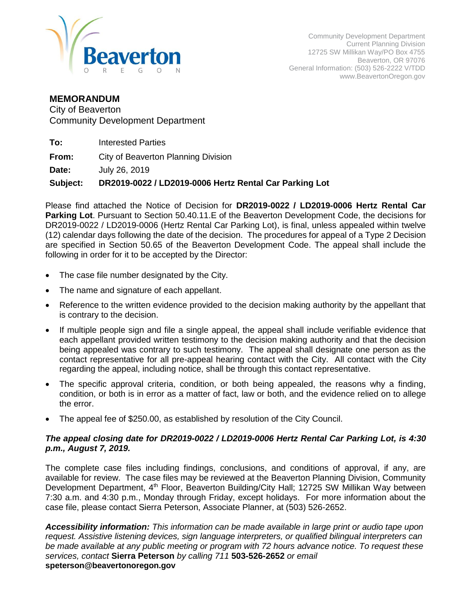

# **MEMORANDUM**

City of Beaverton Community Development Department

**To:** Interested Parties

**From:** City of Beaverton Planning Division

**Date:** July 26, 2019

# **Subject: DR2019-0022 / LD2019-0006 Hertz Rental Car Parking Lot**

Please find attached the Notice of Decision for **DR2019-0022 / LD2019-0006 Hertz Rental Car Parking Lot**. Pursuant to Section 50.40.11.E of the Beaverton Development Code, the decisions for DR2019-0022 / LD2019-0006 (Hertz Rental Car Parking Lot), is final, unless appealed within twelve (12) calendar days following the date of the decision. The procedures for appeal of a Type 2 Decision are specified in Section 50.65 of the Beaverton Development Code. The appeal shall include the following in order for it to be accepted by the Director:

- The case file number designated by the City.
- The name and signature of each appellant.
- Reference to the written evidence provided to the decision making authority by the appellant that is contrary to the decision.
- If multiple people sign and file a single appeal, the appeal shall include verifiable evidence that each appellant provided written testimony to the decision making authority and that the decision being appealed was contrary to such testimony. The appeal shall designate one person as the contact representative for all pre-appeal hearing contact with the City. All contact with the City regarding the appeal, including notice, shall be through this contact representative.
- The specific approval criteria, condition, or both being appealed, the reasons why a finding, condition, or both is in error as a matter of fact, law or both, and the evidence relied on to allege the error.
- The appeal fee of \$250.00, as established by resolution of the City Council.

#### *The appeal closing date for DR2019-0022 / LD2019-0006 Hertz Rental Car Parking Lot, is 4:30 p.m., August 7, 2019.*

The complete case files including findings, conclusions, and conditions of approval, if any, are available for review. The case files may be reviewed at the Beaverton Planning Division, Community Development Department, 4<sup>th</sup> Floor, Beaverton Building/City Hall; 12725 SW Millikan Way between 7:30 a.m. and 4:30 p.m., Monday through Friday, except holidays. For more information about the case file, please contact Sierra Peterson, Associate Planner, at (503) 526-2652.

*Accessibility information: This information can be made available in large print or audio tape upon request. Assistive listening devices, sign language interpreters, or qualified bilingual interpreters can be made available at any public meeting or program with 72 hours advance notice. To request these services, contact* **Sierra Peterson** *by calling 711* **503-526-2652** *or email* **speterson@beavertonoregon.gov**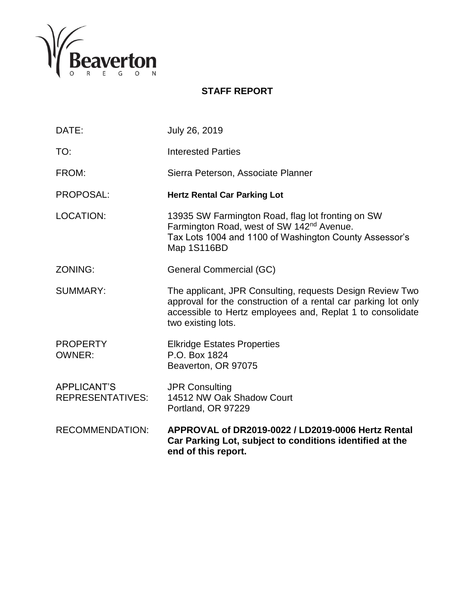

# **STAFF REPORT**

| DATE:                                         | July 26, 2019                                                                                                                                                                                                   |
|-----------------------------------------------|-----------------------------------------------------------------------------------------------------------------------------------------------------------------------------------------------------------------|
| TO:                                           | <b>Interested Parties</b>                                                                                                                                                                                       |
| FROM:                                         | Sierra Peterson, Associate Planner                                                                                                                                                                              |
| PROPOSAL:                                     | <b>Hertz Rental Car Parking Lot</b>                                                                                                                                                                             |
| <b>LOCATION:</b>                              | 13935 SW Farmington Road, flag lot fronting on SW<br>Farmington Road, west of SW 142 <sup>nd</sup> Avenue.<br>Tax Lots 1004 and 1100 of Washington County Assessor's<br>Map 1S116BD                             |
| ZONING:                                       | <b>General Commercial (GC)</b>                                                                                                                                                                                  |
| <b>SUMMARY:</b>                               | The applicant, JPR Consulting, requests Design Review Two<br>approval for the construction of a rental car parking lot only<br>accessible to Hertz employees and, Replat 1 to consolidate<br>two existing lots. |
| <b>PROPERTY</b><br><b>OWNER:</b>              | <b>Elkridge Estates Properties</b><br>P.O. Box 1824<br>Beaverton, OR 97075                                                                                                                                      |
| <b>APPLICANT'S</b><br><b>REPRESENTATIVES:</b> | <b>JPR Consulting</b><br>14512 NW Oak Shadow Court<br>Portland, OR 97229                                                                                                                                        |
| <b>RECOMMENDATION:</b>                        | APPROVAL of DR2019-0022 / LD2019-0006 Hertz Rental<br>Car Parking Lot, subject to conditions identified at the<br>end of this report.                                                                           |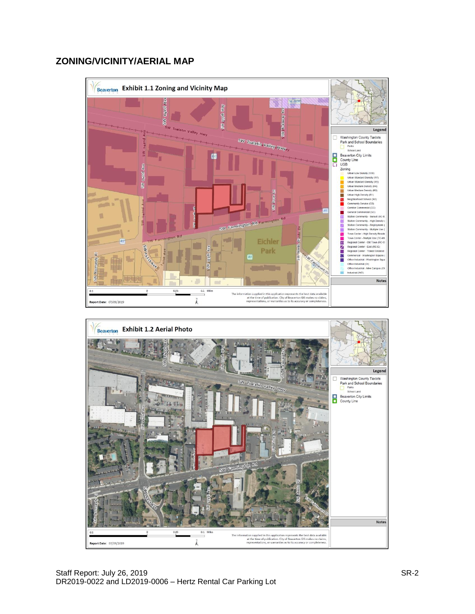# **ZONING/VICINITY/AERIAL MAP**

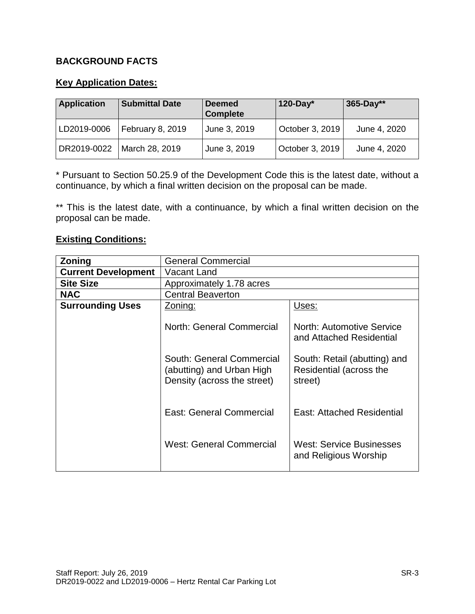# **BACKGROUND FACTS**

# **Key Application Dates:**

| <b>Application</b> | <b>Submittal Date</b> | <b>Deemed</b><br><b>Complete</b> | 120-Day $*$     | 365-Day**    |
|--------------------|-----------------------|----------------------------------|-----------------|--------------|
| LD2019-0006        | February 8, 2019      | June 3, 2019                     | October 3, 2019 | June 4, 2020 |
| DR2019-0022        | March 28, 2019        | June 3, 2019                     | October 3, 2019 | June 4, 2020 |

\* Pursuant to Section 50.25.9 of the Development Code this is the latest date, without a continuance, by which a final written decision on the proposal can be made.

\*\* This is the latest date, with a continuance, by which a final written decision on the proposal can be made.

#### **Existing Conditions:**

| Zoning                     | <b>General Commercial</b>                                                             |                                                                    |  |
|----------------------------|---------------------------------------------------------------------------------------|--------------------------------------------------------------------|--|
| <b>Current Development</b> | Vacant Land                                                                           |                                                                    |  |
| <b>Site Size</b>           | Approximately 1.78 acres                                                              |                                                                    |  |
| <b>NAC</b>                 | <b>Central Beaverton</b>                                                              |                                                                    |  |
| <b>Surrounding Uses</b>    | Zoning:                                                                               | Uses:                                                              |  |
|                            | North: General Commercial                                                             | North: Automotive Service<br>and Attached Residential              |  |
|                            | South: General Commercial<br>(abutting) and Urban High<br>Density (across the street) | South: Retail (abutting) and<br>Residential (across the<br>street) |  |
|                            | East: General Commercial                                                              | East: Attached Residential                                         |  |
|                            | <b>West: General Commercial</b>                                                       | <b>West: Service Businesses</b><br>and Religious Worship           |  |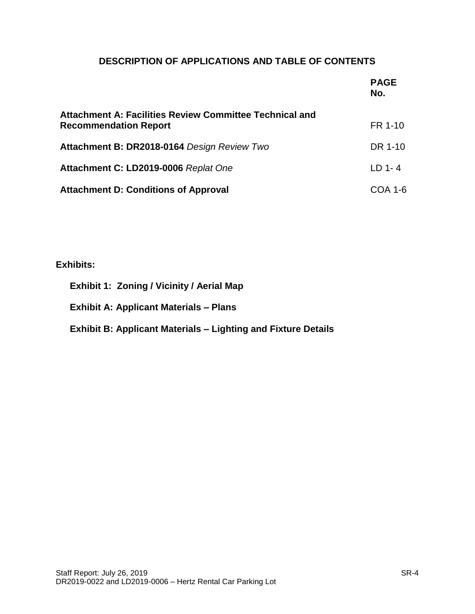# **DESCRIPTION OF APPLICATIONS AND TABLE OF CONTENTS**

|                                                                                                | <b>PAGE</b><br>No. |
|------------------------------------------------------------------------------------------------|--------------------|
| <b>Attachment A: Facilities Review Committee Technical and</b><br><b>Recommendation Report</b> | FR 1-10            |
| Attachment B: DR2018-0164 Design Review Two                                                    | DR 1-10            |
| Attachment C: LD2019-0006 Replat One                                                           | $LD 1 - 4$         |
| <b>Attachment D: Conditions of Approval</b>                                                    | <b>COA 1-6</b>     |

# **Exhibits:**

| <b>Exhibit 1: Zoning / Vicinity / Aerial Map</b>                     |
|----------------------------------------------------------------------|
| <b>Exhibit A: Applicant Materials – Plans</b>                        |
| <b>Exhibit B: Applicant Materials – Lighting and Fixture Details</b> |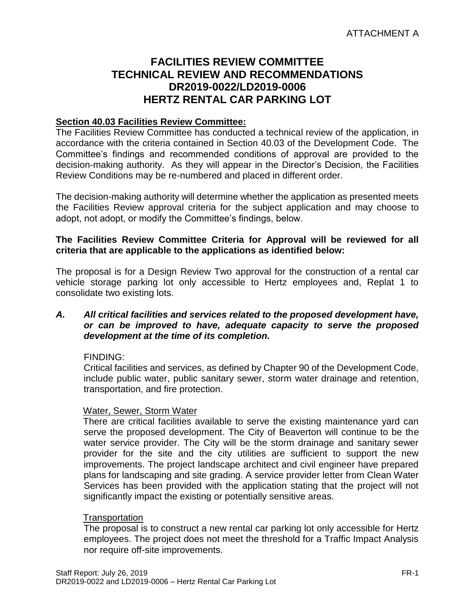# **FACILITIES REVIEW COMMITTEE TECHNICAL REVIEW AND RECOMMENDATIONS DR2019-0022/LD2019-0006 HERTZ RENTAL CAR PARKING LOT**

#### **Section 40.03 Facilities Review Committee:**

The Facilities Review Committee has conducted a technical review of the application, in accordance with the criteria contained in Section 40.03 of the Development Code. The Committee's findings and recommended conditions of approval are provided to the decision-making authority. As they will appear in the Director's Decision, the Facilities Review Conditions may be re-numbered and placed in different order.

The decision-making authority will determine whether the application as presented meets the Facilities Review approval criteria for the subject application and may choose to adopt, not adopt, or modify the Committee's findings, below.

#### **The Facilities Review Committee Criteria for Approval will be reviewed for all criteria that are applicable to the applications as identified below:**

The proposal is for a Design Review Two approval for the construction of a rental car vehicle storage parking lot only accessible to Hertz employees and, Replat 1 to consolidate two existing lots.

#### *A. All critical facilities and services related to the proposed development have, or can be improved to have, adequate capacity to serve the proposed development at the time of its completion.*

#### FINDING:

Critical facilities and services, as defined by Chapter 90 of the Development Code, include public water, public sanitary sewer, storm water drainage and retention, transportation, and fire protection.

#### Water, Sewer, Storm Water

There are critical facilities available to serve the existing maintenance yard can serve the proposed development. The City of Beaverton will continue to be the water service provider. The City will be the storm drainage and sanitary sewer provider for the site and the city utilities are sufficient to support the new improvements. The project landscape architect and civil engineer have prepared plans for landscaping and site grading. A service provider letter from Clean Water Services has been provided with the application stating that the project will not significantly impact the existing or potentially sensitive areas.

#### **Transportation**

The proposal is to construct a new rental car parking lot only accessible for Hertz employees. The project does not meet the threshold for a Traffic Impact Analysis nor require off-site improvements.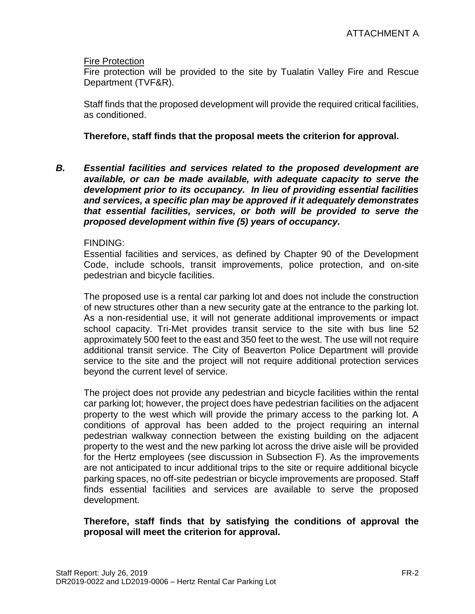#### Fire Protection

Fire protection will be provided to the site by Tualatin Valley Fire and Rescue Department (TVF&R).

Staff finds that the proposed development will provide the required critical facilities, as conditioned.

#### **Therefore, staff finds that the proposal meets the criterion for approval.**

*B. Essential facilities and services related to the proposed development are available, or can be made available, with adequate capacity to serve the development prior to its occupancy. In lieu of providing essential facilities and services, a specific plan may be approved if it adequately demonstrates that essential facilities, services, or both will be provided to serve the proposed development within five (5) years of occupancy.*

#### FINDING:

Essential facilities and services, as defined by Chapter 90 of the Development Code, include schools, transit improvements, police protection, and on-site pedestrian and bicycle facilities.

The proposed use is a rental car parking lot and does not include the construction of new structures other than a new security gate at the entrance to the parking lot. As a non-residential use, it will not generate additional improvements or impact school capacity. Tri-Met provides transit service to the site with bus line 52 approximately 500 feet to the east and 350 feet to the west. The use will not require additional transit service. The City of Beaverton Police Department will provide service to the site and the project will not require additional protection services beyond the current level of service.

The project does not provide any pedestrian and bicycle facilities within the rental car parking lot; however, the project does have pedestrian facilities on the adjacent property to the west which will provide the primary access to the parking lot. A conditions of approval has been added to the project requiring an internal pedestrian walkway connection between the existing building on the adjacent property to the west and the new parking lot across the drive aisle will be provided for the Hertz employees (see discussion in Subsection F). As the improvements are not anticipated to incur additional trips to the site or require additional bicycle parking spaces, no off-site pedestrian or bicycle improvements are proposed. Staff finds essential facilities and services are available to serve the proposed development.

#### **Therefore, staff finds that by satisfying the conditions of approval the proposal will meet the criterion for approval.**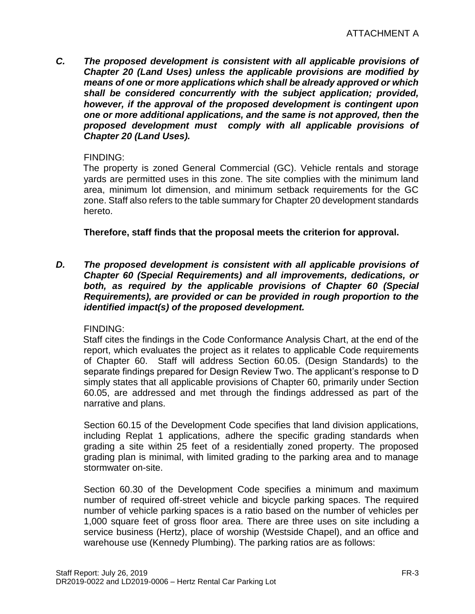*C. The proposed development is consistent with all applicable provisions of Chapter 20 (Land Uses) unless the applicable provisions are modified by means of one or more applications which shall be already approved or which shall be considered concurrently with the subject application; provided, however, if the approval of the proposed development is contingent upon one or more additional applications, and the same is not approved, then the proposed development must comply with all applicable provisions of Chapter 20 (Land Uses).*

# FINDING:

The property is zoned General Commercial (GC). Vehicle rentals and storage yards are permitted uses in this zone. The site complies with the minimum land area, minimum lot dimension, and minimum setback requirements for the GC zone. Staff also refers to the table summary for Chapter 20 development standards hereto.

**Therefore, staff finds that the proposal meets the criterion for approval.**

*D. The proposed development is consistent with all applicable provisions of Chapter 60 (Special Requirements) and all improvements, dedications, or both, as required by the applicable provisions of Chapter 60 (Special Requirements), are provided or can be provided in rough proportion to the identified impact(s) of the proposed development.*

# FINDING:

Staff cites the findings in the Code Conformance Analysis Chart, at the end of the report, which evaluates the project as it relates to applicable Code requirements of Chapter 60. Staff will address Section 60.05. (Design Standards) to the separate findings prepared for Design Review Two. The applicant's response to D simply states that all applicable provisions of Chapter 60, primarily under Section 60.05, are addressed and met through the findings addressed as part of the narrative and plans.

Section 60.15 of the Development Code specifies that land division applications, including Replat 1 applications, adhere the specific grading standards when grading a site within 25 feet of a residentially zoned property. The proposed grading plan is minimal, with limited grading to the parking area and to manage stormwater on-site.

Section 60.30 of the Development Code specifies a minimum and maximum number of required off-street vehicle and bicycle parking spaces. The required number of vehicle parking spaces is a ratio based on the number of vehicles per 1,000 square feet of gross floor area. There are three uses on site including a service business (Hertz), place of worship (Westside Chapel), and an office and warehouse use (Kennedy Plumbing). The parking ratios are as follows: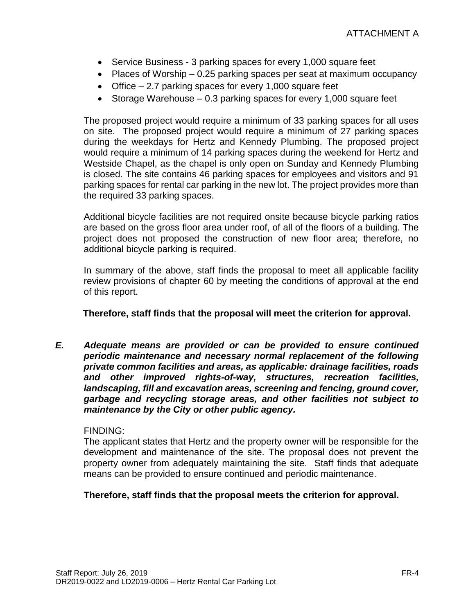- Service Business 3 parking spaces for every 1,000 square feet
- Places of Worship  $-0.25$  parking spaces per seat at maximum occupancy
- $\bullet$  Office 2.7 parking spaces for every 1,000 square feet
- Storage Warehouse  $-0.3$  parking spaces for every 1,000 square feet

The proposed project would require a minimum of 33 parking spaces for all uses on site. The proposed project would require a minimum of 27 parking spaces during the weekdays for Hertz and Kennedy Plumbing. The proposed project would require a minimum of 14 parking spaces during the weekend for Hertz and Westside Chapel, as the chapel is only open on Sunday and Kennedy Plumbing is closed. The site contains 46 parking spaces for employees and visitors and 91 parking spaces for rental car parking in the new lot. The project provides more than the required 33 parking spaces.

Additional bicycle facilities are not required onsite because bicycle parking ratios are based on the gross floor area under roof, of all of the floors of a building. The project does not proposed the construction of new floor area; therefore, no additional bicycle parking is required.

In summary of the above, staff finds the proposal to meet all applicable facility review provisions of chapter 60 by meeting the conditions of approval at the end of this report.

**Therefore, staff finds that the proposal will meet the criterion for approval.**

*E. Adequate means are provided or can be provided to ensure continued periodic maintenance and necessary normal replacement of the following private common facilities and areas, as applicable: drainage facilities, roads and other improved rights-of-way, structures, recreation facilities, landscaping, fill and excavation areas, screening and fencing, ground cover, garbage and recycling storage areas, and other facilities not subject to maintenance by the City or other public agency.*

# FINDING:

The applicant states that Hertz and the property owner will be responsible for the development and maintenance of the site. The proposal does not prevent the property owner from adequately maintaining the site. Staff finds that adequate means can be provided to ensure continued and periodic maintenance.

# **Therefore, staff finds that the proposal meets the criterion for approval.**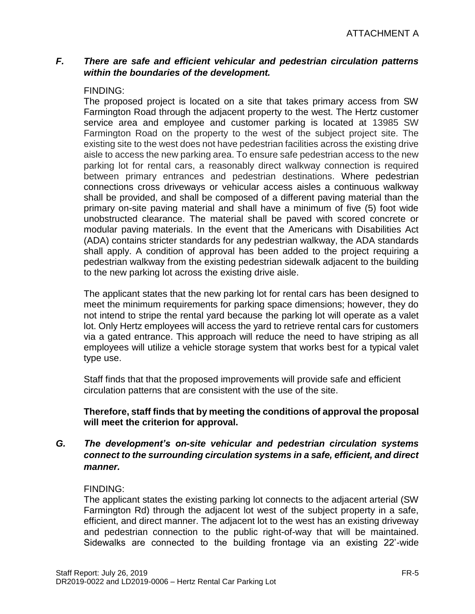# *F. There are safe and efficient vehicular and pedestrian circulation patterns within the boundaries of the development.*

#### FINDING:

The proposed project is located on a site that takes primary access from SW Farmington Road through the adjacent property to the west. The Hertz customer service area and employee and customer parking is located at 13985 SW Farmington Road on the property to the west of the subject project site. The existing site to the west does not have pedestrian facilities across the existing drive aisle to access the new parking area. To ensure safe pedestrian access to the new parking lot for rental cars, a reasonably direct walkway connection is required between primary entrances and pedestrian destinations. Where pedestrian connections cross driveways or vehicular access aisles a continuous walkway shall be provided, and shall be composed of a different paving material than the primary on-site paving material and shall have a minimum of five (5) foot wide unobstructed clearance. The material shall be paved with scored concrete or modular paving materials. In the event that the Americans with Disabilities Act (ADA) contains stricter standards for any pedestrian walkway, the ADA standards shall apply. A condition of approval has been added to the project requiring a pedestrian walkway from the existing pedestrian sidewalk adjacent to the building to the new parking lot across the existing drive aisle.

The applicant states that the new parking lot for rental cars has been designed to meet the minimum requirements for parking space dimensions; however, they do not intend to stripe the rental yard because the parking lot will operate as a valet lot. Only Hertz employees will access the yard to retrieve rental cars for customers via a gated entrance. This approach will reduce the need to have striping as all employees will utilize a vehicle storage system that works best for a typical valet type use.

Staff finds that that the proposed improvements will provide safe and efficient circulation patterns that are consistent with the use of the site.

# **Therefore, staff finds that by meeting the conditions of approval the proposal will meet the criterion for approval.**

# *G. The development's on-site vehicular and pedestrian circulation systems connect to the surrounding circulation systems in a safe, efficient, and direct manner.*

# FINDING:

The applicant states the existing parking lot connects to the adjacent arterial (SW Farmington Rd) through the adjacent lot west of the subject property in a safe, efficient, and direct manner. The adjacent lot to the west has an existing driveway and pedestrian connection to the public right-of-way that will be maintained. Sidewalks are connected to the building frontage via an existing 22'-wide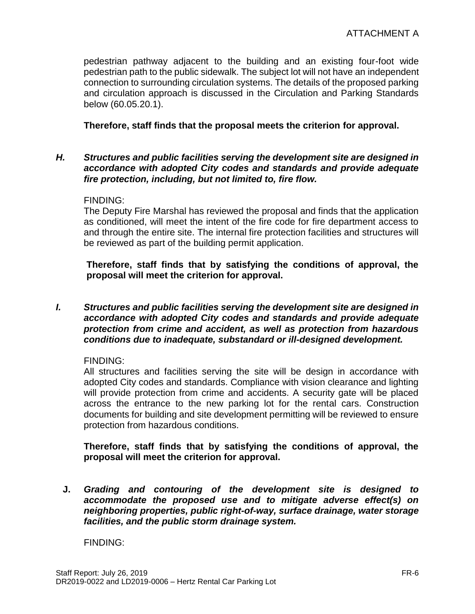pedestrian pathway adjacent to the building and an existing four-foot wide pedestrian path to the public sidewalk. The subject lot will not have an independent connection to surrounding circulation systems. The details of the proposed parking and circulation approach is discussed in the Circulation and Parking Standards below (60.05.20.1).

# **Therefore, staff finds that the proposal meets the criterion for approval.**

#### *H. Structures and public facilities serving the development site are designed in accordance with adopted City codes and standards and provide adequate fire protection, including, but not limited to, fire flow.*

#### FINDING:

The Deputy Fire Marshal has reviewed the proposal and finds that the application as conditioned, will meet the intent of the fire code for fire department access to and through the entire site. The internal fire protection facilities and structures will be reviewed as part of the building permit application.

**Therefore, staff finds that by satisfying the conditions of approval, the proposal will meet the criterion for approval.**

*I. Structures and public facilities serving the development site are designed in accordance with adopted City codes and standards and provide adequate protection from crime and accident, as well as protection from hazardous conditions due to inadequate, substandard or ill-designed development.*

FINDING:

All structures and facilities serving the site will be design in accordance with adopted City codes and standards. Compliance with vision clearance and lighting will provide protection from crime and accidents. A security gate will be placed across the entrance to the new parking lot for the rental cars. Construction documents for building and site development permitting will be reviewed to ensure protection from hazardous conditions.

**Therefore, staff finds that by satisfying the conditions of approval, the proposal will meet the criterion for approval.**

**J.** *Grading and contouring of the development site is designed to accommodate the proposed use and to mitigate adverse effect(s) on neighboring properties, public right-of-way, surface drainage, water storage facilities, and the public storm drainage system.*

FINDING: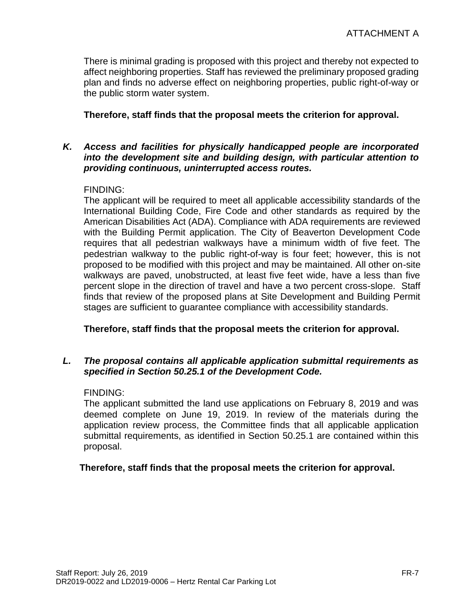There is minimal grading is proposed with this project and thereby not expected to affect neighboring properties. Staff has reviewed the preliminary proposed grading plan and finds no adverse effect on neighboring properties, public right-of-way or the public storm water system.

**Therefore, staff finds that the proposal meets the criterion for approval.**

# *K. Access and facilities for physically handicapped people are incorporated into the development site and building design, with particular attention to providing continuous, uninterrupted access routes.*

#### FINDING:

The applicant will be required to meet all applicable accessibility standards of the International Building Code, Fire Code and other standards as required by the American Disabilities Act (ADA). Compliance with ADA requirements are reviewed with the Building Permit application. The City of Beaverton Development Code requires that all pedestrian walkways have a minimum width of five feet. The pedestrian walkway to the public right-of-way is four feet; however, this is not proposed to be modified with this project and may be maintained. All other on-site walkways are paved, unobstructed, at least five feet wide, have a less than five percent slope in the direction of travel and have a two percent cross-slope. Staff finds that review of the proposed plans at Site Development and Building Permit stages are sufficient to guarantee compliance with accessibility standards.

**Therefore, staff finds that the proposal meets the criterion for approval.** 

# *L. The proposal contains all applicable application submittal requirements as specified in Section 50.25.1 of the Development Code.*

#### FINDING:

The applicant submitted the land use applications on February 8, 2019 and was deemed complete on June 19, 2019. In review of the materials during the application review process, the Committee finds that all applicable application submittal requirements, as identified in Section 50.25.1 are contained within this proposal.

#### **Therefore, staff finds that the proposal meets the criterion for approval.**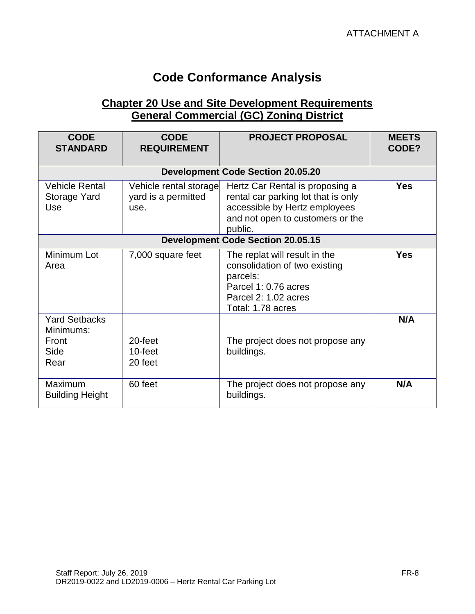# **Code Conformance Analysis**

# **Chapter 20 Use and Site Development Requirements General Commercial (GC) Zoning District**

| <b>CODE</b><br><b>STANDARD</b>                             | <b>CODE</b><br><b>REQUIREMENT</b>                     | <b>PROJECT PROPOSAL</b>                                                                                                                                | <b>MEETS</b><br>CODE? |
|------------------------------------------------------------|-------------------------------------------------------|--------------------------------------------------------------------------------------------------------------------------------------------------------|-----------------------|
|                                                            |                                                       | <b>Development Code Section 20.05.20</b>                                                                                                               |                       |
| <b>Vehicle Rental</b><br>Storage Yard<br><b>Use</b>        | Vehicle rental storage<br>yard is a permitted<br>use. | Hertz Car Rental is proposing a<br>rental car parking lot that is only<br>accessible by Hertz employees<br>and not open to customers or the<br>public. | <b>Yes</b>            |
|                                                            |                                                       | <b>Development Code Section 20.05.15</b>                                                                                                               |                       |
| Minimum Lot<br>Area                                        | 7,000 square feet                                     | The replat will result in the<br>consolidation of two existing<br>parcels:<br>Parcel 1: 0.76 acres<br>Parcel 2: 1.02 acres<br>Total: 1.78 acres        | <b>Yes</b>            |
| <b>Yard Setbacks</b><br>Minimums:<br>Front<br>Side<br>Rear | 20-feet<br>10-feet<br>20 feet                         | The project does not propose any<br>buildings.                                                                                                         | N/A                   |
| Maximum<br><b>Building Height</b>                          | 60 feet                                               | The project does not propose any<br>buildings.                                                                                                         | N/A                   |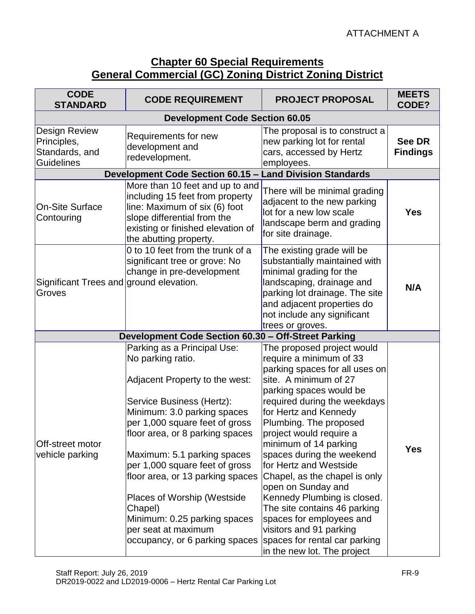# **Chapter 60 Special Requirements General Commercial (GC) Zoning District Zoning District**

| <b>CODE</b><br><b>STANDARD</b>                                             | <b>CODE REQUIREMENT</b>                                                                                                                                                                                                                                                                                                                                                                                                                                                                   | <b>PROJECT PROPOSAL</b>                                                                                                                                                                                                                                                                                                                                                                                                                                                                                                                               | <b>MEETS</b><br>CODE?     |  |
|----------------------------------------------------------------------------|-------------------------------------------------------------------------------------------------------------------------------------------------------------------------------------------------------------------------------------------------------------------------------------------------------------------------------------------------------------------------------------------------------------------------------------------------------------------------------------------|-------------------------------------------------------------------------------------------------------------------------------------------------------------------------------------------------------------------------------------------------------------------------------------------------------------------------------------------------------------------------------------------------------------------------------------------------------------------------------------------------------------------------------------------------------|---------------------------|--|
|                                                                            | <b>Development Code Section 60.05</b>                                                                                                                                                                                                                                                                                                                                                                                                                                                     |                                                                                                                                                                                                                                                                                                                                                                                                                                                                                                                                                       |                           |  |
| <b>Design Review</b><br>Principles,<br>Standards, and<br><b>Guidelines</b> | Requirements for new<br>development and<br>redevelopment.                                                                                                                                                                                                                                                                                                                                                                                                                                 | The proposal is to construct a<br>new parking lot for rental<br>cars, accessed by Hertz<br>employees.                                                                                                                                                                                                                                                                                                                                                                                                                                                 | See DR<br><b>Findings</b> |  |
|                                                                            | Development Code Section 60.15 - Land Division Standards                                                                                                                                                                                                                                                                                                                                                                                                                                  |                                                                                                                                                                                                                                                                                                                                                                                                                                                                                                                                                       |                           |  |
| <b>On-Site Surface</b><br>Contouring                                       | More than 10 feet and up to and<br>including 15 feet from property<br>line: Maximum of six (6) foot<br>slope differential from the<br>existing or finished elevation of<br>the abutting property.                                                                                                                                                                                                                                                                                         | There will be minimal grading<br>adjacent to the new parking<br>lot for a new low scale<br>landscape berm and grading<br>for site drainage.                                                                                                                                                                                                                                                                                                                                                                                                           | <b>Yes</b>                |  |
| Significant Trees and ground elevation.<br>Groves                          | 0 to 10 feet from the trunk of a<br>significant tree or grove: No<br>change in pre-development                                                                                                                                                                                                                                                                                                                                                                                            | The existing grade will be<br>substantially maintained with<br>minimal grading for the<br>landscaping, drainage and<br>parking lot drainage. The site<br>and adjacent properties do<br>not include any significant<br>trees or groves.                                                                                                                                                                                                                                                                                                                | N/A                       |  |
|                                                                            | Development Code Section 60.30 - Off-Street Parking                                                                                                                                                                                                                                                                                                                                                                                                                                       |                                                                                                                                                                                                                                                                                                                                                                                                                                                                                                                                                       |                           |  |
| Off-street motor<br>vehicle parking                                        | Parking as a Principal Use:<br>No parking ratio.<br>Adjacent Property to the west:<br>Service Business (Hertz):<br>Minimum: 3.0 parking spaces<br>per 1,000 square feet of gross<br>floor area, or 8 parking spaces<br>Maximum: 5.1 parking spaces<br>per 1,000 square feet of gross<br>floor area, or 13 parking spaces<br>Places of Worship (Westside<br>Chapel)<br>Minimum: 0.25 parking spaces<br>per seat at maximum<br>occupancy, or 6 parking spaces spaces for rental car parking | The proposed project would<br>require a minimum of 33<br>parking spaces for all uses on<br>site. A minimum of 27<br>parking spaces would be<br>required during the weekdays<br>for Hertz and Kennedy<br>Plumbing. The proposed<br>project would require a<br>minimum of 14 parking<br>spaces during the weekend<br>for Hertz and Westside<br>Chapel, as the chapel is only<br>open on Sunday and<br>Kennedy Plumbing is closed.<br>The site contains 46 parking<br>spaces for employees and<br>visitors and 91 parking<br>in the new lot. The project | <b>Yes</b>                |  |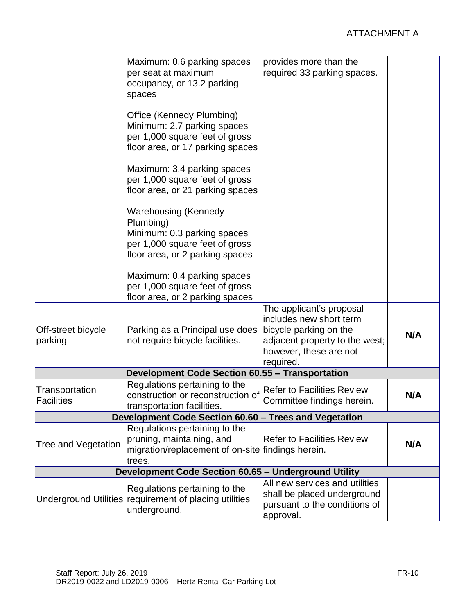|                                      | Maximum: 0.6 parking spaces<br>per seat at maximum<br>occupancy, or 13.2 parking<br>spaces                                            | provides more than the<br>required 33 parking spaces.                                                                                                  |     |
|--------------------------------------|---------------------------------------------------------------------------------------------------------------------------------------|--------------------------------------------------------------------------------------------------------------------------------------------------------|-----|
|                                      | Office (Kennedy Plumbing)<br>Minimum: 2.7 parking spaces<br>per 1,000 square feet of gross<br>floor area, or 17 parking spaces        |                                                                                                                                                        |     |
|                                      | Maximum: 3.4 parking spaces<br>per 1,000 square feet of gross<br>floor area, or 21 parking spaces                                     |                                                                                                                                                        |     |
|                                      | Warehousing (Kennedy<br>Plumbing)<br>Minimum: 0.3 parking spaces<br>per 1,000 square feet of gross<br>floor area, or 2 parking spaces |                                                                                                                                                        |     |
|                                      | Maximum: 0.4 parking spaces<br>per 1,000 square feet of gross<br>floor area, or 2 parking spaces                                      |                                                                                                                                                        |     |
| <b>Off-street bicycle</b><br>parking | Parking as a Principal use does<br>not require bicycle facilities.                                                                    | The applicant's proposal<br>includes new short term<br>bicycle parking on the<br>adjacent property to the west;<br>however, these are not<br>required. | N/A |
|                                      | Development Code Section 60.55 - Transportation                                                                                       |                                                                                                                                                        |     |
| Transportation<br>Facilities         | Regulations pertaining to the<br>construction or reconstruction of<br>transportation facilities.                                      | <b>Refer to Facilities Review</b><br>Committee findings herein.                                                                                        | N/A |
|                                      | Development Code Section 60.60 - Trees and Vegetation                                                                                 |                                                                                                                                                        |     |
| <b>Tree and Vegetation</b>           | Regulations pertaining to the<br>pruning, maintaining, and<br>migration/replacement of on-site findings herein.<br>trees.             | <b>Refer to Facilities Review</b>                                                                                                                      | N/A |
|                                      | Development Code Section 60.65 - Underground Utility                                                                                  |                                                                                                                                                        |     |
|                                      | Regulations pertaining to the<br>Underground Utilities requirement of placing utilities<br>underground.                               | All new services and utilities<br>shall be placed underground<br>pursuant to the conditions of<br>approval.                                            |     |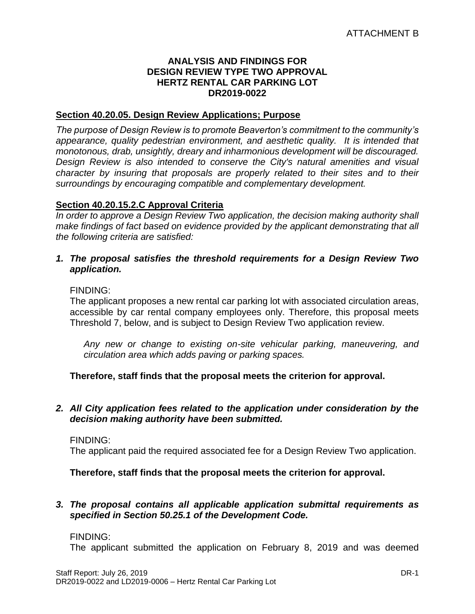## **ANALYSIS AND FINDINGS FOR DESIGN REVIEW TYPE TWO APPROVAL HERTZ RENTAL CAR PARKING LOT DR2019-0022**

#### **Section 40.20.05. Design Review Applications; Purpose**

*The purpose of Design Review is to promote Beaverton's commitment to the community's appearance, quality pedestrian environment, and aesthetic quality. It is intended that monotonous, drab, unsightly, dreary and inharmonious development will be discouraged. Design Review is also intended to conserve the City's natural amenities and visual character by insuring that proposals are properly related to their sites and to their surroundings by encouraging compatible and complementary development.*

#### **Section 40.20.15.2.C Approval Criteria**

*In order to approve a Design Review Two application, the decision making authority shall make findings of fact based on evidence provided by the applicant demonstrating that all the following criteria are satisfied:*

*1. The proposal satisfies the threshold requirements for a Design Review Two application.*

#### FINDING:

The applicant proposes a new rental car parking lot with associated circulation areas, accessible by car rental company employees only. Therefore, this proposal meets Threshold 7, below, and is subject to Design Review Two application review.

*Any new or change to existing on-site vehicular parking, maneuvering, and circulation area which adds paving or parking spaces.*

# **Therefore, staff finds that the proposal meets the criterion for approval.**

#### *2. All City application fees related to the application under consideration by the decision making authority have been submitted.*

#### FINDING:

The applicant paid the required associated fee for a Design Review Two application.

**Therefore, staff finds that the proposal meets the criterion for approval.**

# *3. The proposal contains all applicable application submittal requirements as specified in Section 50.25.1 of the Development Code.*

#### FINDING:

The applicant submitted the application on February 8, 2019 and was deemed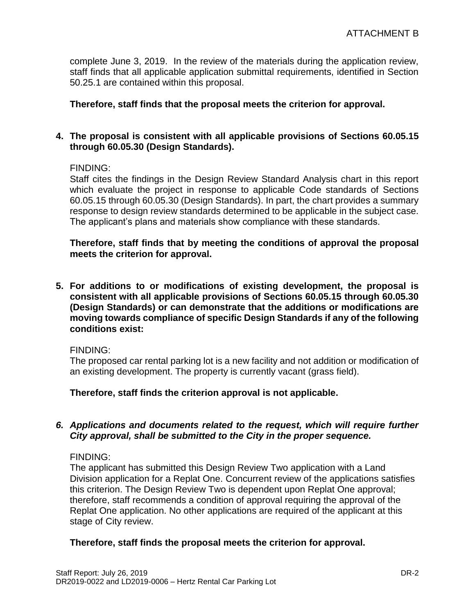complete June 3, 2019. In the review of the materials during the application review, staff finds that all applicable application submittal requirements, identified in Section 50.25.1 are contained within this proposal.

**Therefore, staff finds that the proposal meets the criterion for approval.**

# **4. The proposal is consistent with all applicable provisions of Sections 60.05.15 through 60.05.30 (Design Standards).**

# FINDING:

Staff cites the findings in the Design Review Standard Analysis chart in this report which evaluate the project in response to applicable Code standards of Sections 60.05.15 through 60.05.30 (Design Standards). In part, the chart provides a summary response to design review standards determined to be applicable in the subject case. The applicant's plans and materials show compliance with these standards.

**Therefore, staff finds that by meeting the conditions of approval the proposal meets the criterion for approval.**

**5. For additions to or modifications of existing development, the proposal is consistent with all applicable provisions of Sections 60.05.15 through 60.05.30 (Design Standards) or can demonstrate that the additions or modifications are moving towards compliance of specific Design Standards if any of the following conditions exist:**

# FINDING:

The proposed car rental parking lot is a new facility and not addition or modification of an existing development. The property is currently vacant (grass field).

# **Therefore, staff finds the criterion approval is not applicable.**

# *6. Applications and documents related to the request, which will require further City approval, shall be submitted to the City in the proper sequence.*

# FINDING:

The applicant has submitted this Design Review Two application with a Land Division application for a Replat One. Concurrent review of the applications satisfies this criterion. The Design Review Two is dependent upon Replat One approval; therefore, staff recommends a condition of approval requiring the approval of the Replat One application. No other applications are required of the applicant at this stage of City review.

# **Therefore, staff finds the proposal meets the criterion for approval.**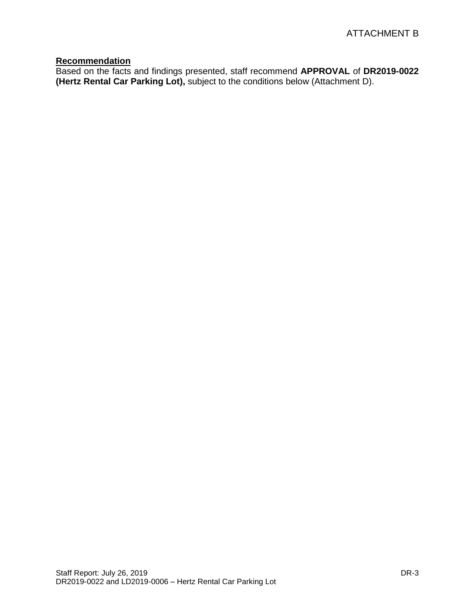# **Recommendation**

Based on the facts and findings presented, staff recommend **APPROVAL** of **DR2019-0022 (Hertz Rental Car Parking Lot),** subject to the conditions below (Attachment D).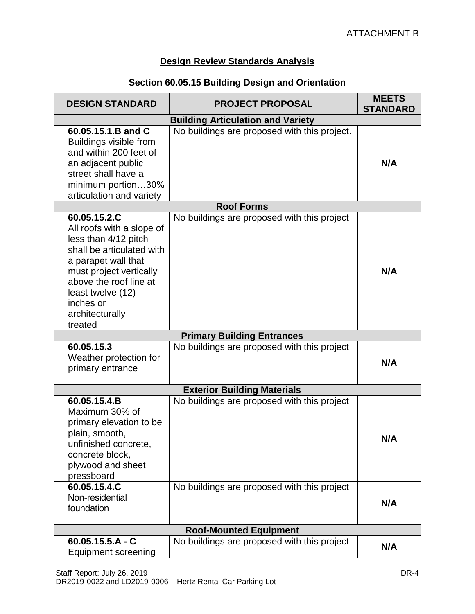# **Design Review Standards Analysis**

# **Section 60.05.15 Building Design and Orientation**

| <b>DESIGN STANDARD</b>                                                                                                                                                                                                                     | <b>PROJECT PROPOSAL</b>                      | <b>MEETS</b><br><b>STANDARD</b> |
|--------------------------------------------------------------------------------------------------------------------------------------------------------------------------------------------------------------------------------------------|----------------------------------------------|---------------------------------|
|                                                                                                                                                                                                                                            | <b>Building Articulation and Variety</b>     |                                 |
| 60.05.15.1.B and C<br>Buildings visible from<br>and within 200 feet of<br>an adjacent public<br>street shall have a<br>minimum portion30%<br>articulation and variety                                                                      | No buildings are proposed with this project. | N/A                             |
|                                                                                                                                                                                                                                            | <b>Roof Forms</b>                            |                                 |
| 60.05.15.2.C<br>All roofs with a slope of<br>less than 4/12 pitch<br>shall be articulated with<br>a parapet wall that<br>must project vertically<br>above the roof line at<br>least twelve (12)<br>inches or<br>architecturally<br>treated | No buildings are proposed with this project  | N/A                             |
|                                                                                                                                                                                                                                            | <b>Primary Building Entrances</b>            |                                 |
| 60.05.15.3<br>Weather protection for<br>primary entrance                                                                                                                                                                                   | No buildings are proposed with this project  | N/A                             |
| <b>Exterior Building Materials</b>                                                                                                                                                                                                         |                                              |                                 |
| 60.05.15.4.B<br>Maximum 30% of<br>primary elevation to be<br>plain, smooth,<br>unfinished concrete,<br>concrete block,<br>plywood and sheet<br>pressboard                                                                                  | No buildings are proposed with this project  | N/A                             |
| 60.05.15.4.C<br>Non-residential<br>foundation                                                                                                                                                                                              | No buildings are proposed with this project  | N/A                             |
| <b>Roof-Mounted Equipment</b>                                                                                                                                                                                                              |                                              |                                 |
| $60.05.15.5.A - C$<br><b>Equipment screening</b>                                                                                                                                                                                           | No buildings are proposed with this project  | N/A                             |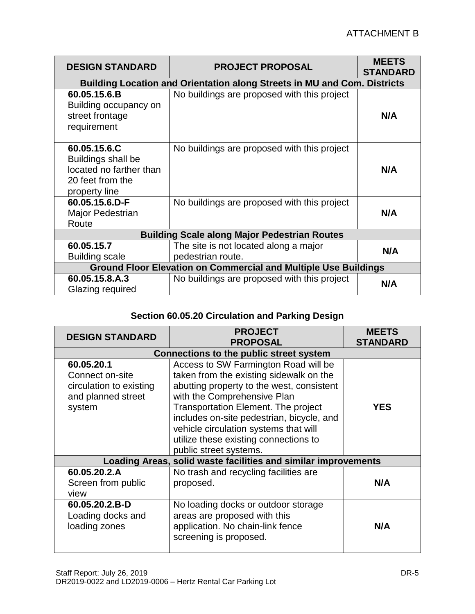| <b>DESIGN STANDARD</b>                                                                             | <b>PROJECT PROPOSAL</b>                                                  | <b>MEETS</b><br><b>STANDARD</b> |
|----------------------------------------------------------------------------------------------------|--------------------------------------------------------------------------|---------------------------------|
|                                                                                                    | Building Location and Orientation along Streets in MU and Com. Districts |                                 |
| 60.05.15.6.B<br>Building occupancy on<br>street frontage<br>requirement                            | No buildings are proposed with this project                              | N/A                             |
| 60.05.15.6.C<br>Buildings shall be<br>located no farther than<br>20 feet from the<br>property line | No buildings are proposed with this project                              | N/A                             |
| 60.05.15.6.D-F<br>Major Pedestrian<br>Route                                                        | No buildings are proposed with this project                              | N/A                             |
| <b>Building Scale along Major Pedestrian Routes</b>                                                |                                                                          |                                 |
| 60.05.15.7<br><b>Building scale</b>                                                                | The site is not located along a major<br>pedestrian route.               | N/A                             |
| <b>Ground Floor Elevation on Commercial and Multiple Use Buildings</b>                             |                                                                          |                                 |
| 60.05.15.8.A.3<br>Glazing required                                                                 | No buildings are proposed with this project                              | N/A                             |

# **Section 60.05.20 Circulation and Parking Design**

| <b>DESIGN STANDARD</b>                                                                   | <b>PROJECT</b><br><b>PROPOSAL</b>                                                                                                                                                                                                                                                                                                                                  | <b>MEETS</b><br><b>STANDARD</b> |  |
|------------------------------------------------------------------------------------------|--------------------------------------------------------------------------------------------------------------------------------------------------------------------------------------------------------------------------------------------------------------------------------------------------------------------------------------------------------------------|---------------------------------|--|
|                                                                                          | <b>Connections to the public street system</b>                                                                                                                                                                                                                                                                                                                     |                                 |  |
| 60.05.20.1<br>Connect on-site<br>circulation to existing<br>and planned street<br>system | Access to SW Farmington Road will be<br>taken from the existing sidewalk on the<br>abutting property to the west, consistent<br>with the Comprehensive Plan<br><b>Transportation Element. The project</b><br>includes on-site pedestrian, bicycle, and<br>vehicle circulation systems that will<br>utilize these existing connections to<br>public street systems. | <b>YES</b>                      |  |
|                                                                                          | Loading Areas, solid waste facilities and similar improvements                                                                                                                                                                                                                                                                                                     |                                 |  |
| 60.05.20.2.A<br>Screen from public<br>view                                               | No trash and recycling facilities are<br>proposed.                                                                                                                                                                                                                                                                                                                 | N/A                             |  |
| 60.05.20.2.B-D<br>Loading docks and<br>loading zones                                     | No loading docks or outdoor storage<br>areas are proposed with this<br>application. No chain-link fence<br>screening is proposed.                                                                                                                                                                                                                                  | N/A                             |  |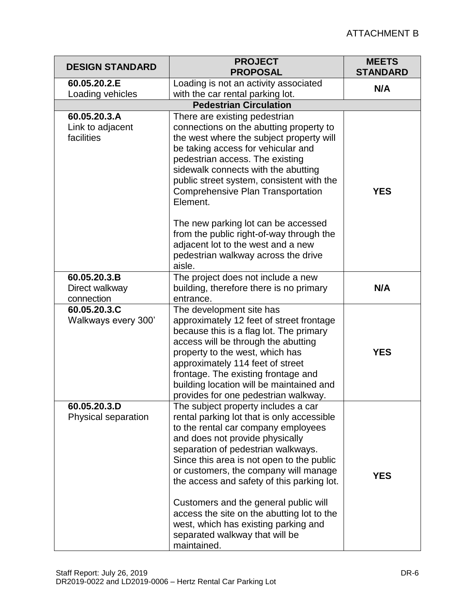| <b>DESIGN STANDARD</b>                         | <b>PROJECT</b><br><b>PROPOSAL</b>                                                                                                                                                                                                                                                                                                                                                                                                                                                                                     | <b>MEETS</b><br><b>STANDARD</b> |
|------------------------------------------------|-----------------------------------------------------------------------------------------------------------------------------------------------------------------------------------------------------------------------------------------------------------------------------------------------------------------------------------------------------------------------------------------------------------------------------------------------------------------------------------------------------------------------|---------------------------------|
| 60.05.20.2.E                                   | Loading is not an activity associated                                                                                                                                                                                                                                                                                                                                                                                                                                                                                 |                                 |
| Loading vehicles                               | with the car rental parking lot.                                                                                                                                                                                                                                                                                                                                                                                                                                                                                      | N/A                             |
|                                                | <b>Pedestrian Circulation</b>                                                                                                                                                                                                                                                                                                                                                                                                                                                                                         |                                 |
| 60.05.20.3.A<br>Link to adjacent<br>facilities | There are existing pedestrian<br>connections on the abutting property to<br>the west where the subject property will<br>be taking access for vehicular and<br>pedestrian access. The existing<br>sidewalk connects with the abutting<br>public street system, consistent with the<br><b>Comprehensive Plan Transportation</b><br>Element.<br>The new parking lot can be accessed<br>from the public right-of-way through the<br>adjacent lot to the west and a new<br>pedestrian walkway across the drive<br>aisle.   | <b>YES</b>                      |
| 60.05.20.3.B<br>Direct walkway<br>connection   | The project does not include a new<br>building, therefore there is no primary<br>entrance.                                                                                                                                                                                                                                                                                                                                                                                                                            | N/A                             |
| 60.05.20.3.C<br>Walkways every 300'            | The development site has<br>approximately 12 feet of street frontage<br>because this is a flag lot. The primary<br>access will be through the abutting<br>property to the west, which has<br>approximately 114 feet of street<br>frontage. The existing frontage and<br>building location will be maintained and<br>provides for one pedestrian walkway.                                                                                                                                                              | <b>YES</b>                      |
| 60.05.20.3.D<br>Physical separation            | The subject property includes a car<br>rental parking lot that is only accessible<br>to the rental car company employees<br>and does not provide physically<br>separation of pedestrian walkways.<br>Since this area is not open to the public<br>or customers, the company will manage<br>the access and safety of this parking lot.<br>Customers and the general public will<br>access the site on the abutting lot to the<br>west, which has existing parking and<br>separated walkway that will be<br>maintained. | <b>YES</b>                      |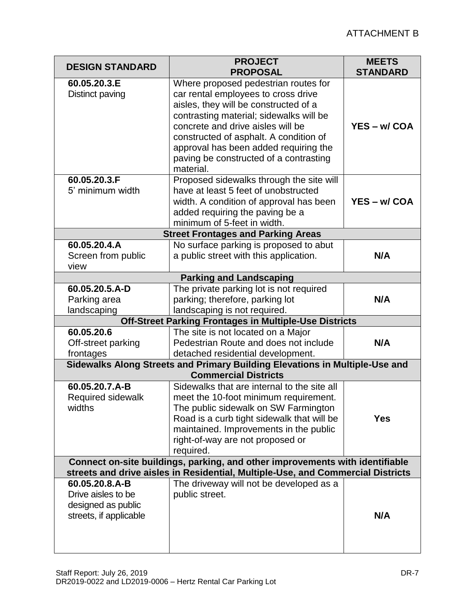| <b>DESIGN STANDARD</b>                                                          | <b>PROJECT</b>                                                                                             | <b>MEETS</b>    |
|---------------------------------------------------------------------------------|------------------------------------------------------------------------------------------------------------|-----------------|
|                                                                                 | <b>PROPOSAL</b>                                                                                            | <b>STANDARD</b> |
| 60.05.20.3.E<br>Distinct paving                                                 | Where proposed pedestrian routes for<br>car rental employees to cross drive                                |                 |
|                                                                                 | aisles, they will be constructed of a                                                                      |                 |
|                                                                                 | contrasting material; sidewalks will be                                                                    |                 |
|                                                                                 | concrete and drive aisles will be                                                                          | YES-w/COA       |
|                                                                                 | constructed of asphalt. A condition of                                                                     |                 |
|                                                                                 | approval has been added requiring the                                                                      |                 |
|                                                                                 | paving be constructed of a contrasting                                                                     |                 |
|                                                                                 | material.                                                                                                  |                 |
| 60.05.20.3.F                                                                    | Proposed sidewalks through the site will                                                                   |                 |
| 5' minimum width                                                                | have at least 5 feet of unobstructed                                                                       |                 |
|                                                                                 | width. A condition of approval has been                                                                    | YES - w/ COA    |
|                                                                                 | added requiring the paving be a                                                                            |                 |
|                                                                                 | minimum of 5-feet in width.                                                                                |                 |
|                                                                                 | <b>Street Frontages and Parking Areas</b>                                                                  |                 |
| 60.05.20.4.A                                                                    | No surface parking is proposed to abut                                                                     |                 |
| Screen from public                                                              | a public street with this application.                                                                     | N/A             |
| view                                                                            |                                                                                                            |                 |
|                                                                                 | <b>Parking and Landscaping</b>                                                                             |                 |
| 60.05.20.5.A-D                                                                  | The private parking lot is not required                                                                    |                 |
| Parking area                                                                    | parking; therefore, parking lot                                                                            | N/A             |
| landscaping                                                                     | landscaping is not required.                                                                               |                 |
| <b>Off-Street Parking Frontages in Multiple-Use Districts</b>                   |                                                                                                            |                 |
| 60.05.20.6                                                                      | The site is not located on a Major                                                                         |                 |
| Off-street parking                                                              | Pedestrian Route and does not include                                                                      | N/A             |
| frontages                                                                       | detached residential development.                                                                          |                 |
|                                                                                 | Sidewalks Along Streets and Primary Building Elevations in Multiple-Use and<br><b>Commercial Districts</b> |                 |
| 60.05.20.7.A-B                                                                  | Sidewalks that are internal to the site all                                                                |                 |
| <b>Required sidewalk</b>                                                        | meet the 10-foot minimum requirement.                                                                      |                 |
| widths                                                                          | The public sidewalk on SW Farmington                                                                       |                 |
|                                                                                 | Road is a curb tight sidewalk that will be                                                                 | <b>Yes</b>      |
|                                                                                 | maintained. Improvements in the public                                                                     |                 |
|                                                                                 | right-of-way are not proposed or                                                                           |                 |
|                                                                                 | required.                                                                                                  |                 |
|                                                                                 | Connect on-site buildings, parking, and other improvements with identifiable                               |                 |
| streets and drive aisles in Residential, Multiple-Use, and Commercial Districts |                                                                                                            |                 |
| 60.05.20.8.A-B                                                                  | The driveway will not be developed as a                                                                    |                 |
| Drive aisles to be                                                              | public street.                                                                                             |                 |
| designed as public                                                              |                                                                                                            |                 |
| streets, if applicable                                                          |                                                                                                            | N/A             |
|                                                                                 |                                                                                                            |                 |
|                                                                                 |                                                                                                            |                 |
|                                                                                 |                                                                                                            |                 |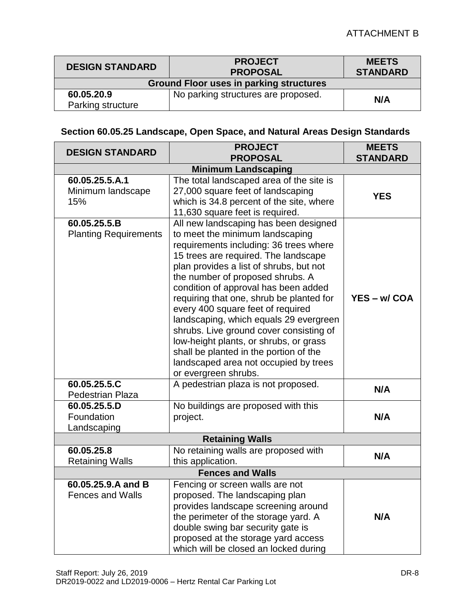| <b>DESIGN STANDARD</b>                         | <b>PROJECT</b><br><b>PROPOSAL</b>   | <b>MEETS</b><br><b>STANDARD</b> |
|------------------------------------------------|-------------------------------------|---------------------------------|
| <b>Ground Floor uses in parking structures</b> |                                     |                                 |
| 60.05.20.9<br>Parking structure                | No parking structures are proposed. | N/A                             |

# **Section 60.05.25 Landscape, Open Space, and Natural Areas Design Standards**

| <b>DESIGN STANDARD</b>                        | <b>PROJECT</b>                                                                                                                                                                                                                                                                                                                                                                                                                                                                                                                                                                                               | <b>MEETS</b>    |
|-----------------------------------------------|--------------------------------------------------------------------------------------------------------------------------------------------------------------------------------------------------------------------------------------------------------------------------------------------------------------------------------------------------------------------------------------------------------------------------------------------------------------------------------------------------------------------------------------------------------------------------------------------------------------|-----------------|
|                                               | <b>PROPOSAL</b>                                                                                                                                                                                                                                                                                                                                                                                                                                                                                                                                                                                              | <b>STANDARD</b> |
|                                               | <b>Minimum Landscaping</b>                                                                                                                                                                                                                                                                                                                                                                                                                                                                                                                                                                                   |                 |
| 60.05.25.5.A.1<br>Minimum landscape<br>15%    | The total landscaped area of the site is<br>27,000 square feet of landscaping<br>which is 34.8 percent of the site, where<br>11,630 square feet is required.                                                                                                                                                                                                                                                                                                                                                                                                                                                 | <b>YES</b>      |
| 60.05.25.5.B<br><b>Planting Requirements</b>  | All new landscaping has been designed<br>to meet the minimum landscaping<br>requirements including: 36 trees where<br>15 trees are required. The landscape<br>plan provides a list of shrubs, but not<br>the number of proposed shrubs. A<br>condition of approval has been added<br>requiring that one, shrub be planted for<br>every 400 square feet of required<br>landscaping, which equals 29 evergreen<br>shrubs. Live ground cover consisting of<br>low-height plants, or shrubs, or grass<br>shall be planted in the portion of the<br>landscaped area not occupied by trees<br>or evergreen shrubs. | YES - w/ COA    |
| 60.05.25.5.C<br><b>Pedestrian Plaza</b>       | A pedestrian plaza is not proposed.                                                                                                                                                                                                                                                                                                                                                                                                                                                                                                                                                                          | N/A             |
| 60.05.25.5.D<br>Foundation<br>Landscaping     | No buildings are proposed with this<br>project.                                                                                                                                                                                                                                                                                                                                                                                                                                                                                                                                                              | N/A             |
|                                               | <b>Retaining Walls</b>                                                                                                                                                                                                                                                                                                                                                                                                                                                                                                                                                                                       |                 |
| 60.05.25.8<br><b>Retaining Walls</b>          | No retaining walls are proposed with<br>this application.                                                                                                                                                                                                                                                                                                                                                                                                                                                                                                                                                    | N/A             |
| <b>Fences and Walls</b>                       |                                                                                                                                                                                                                                                                                                                                                                                                                                                                                                                                                                                                              |                 |
| 60.05.25.9.A and B<br><b>Fences and Walls</b> | Fencing or screen walls are not<br>proposed. The landscaping plan<br>provides landscape screening around<br>the perimeter of the storage yard. A<br>double swing bar security gate is<br>proposed at the storage yard access<br>which will be closed an locked during                                                                                                                                                                                                                                                                                                                                        | N/A             |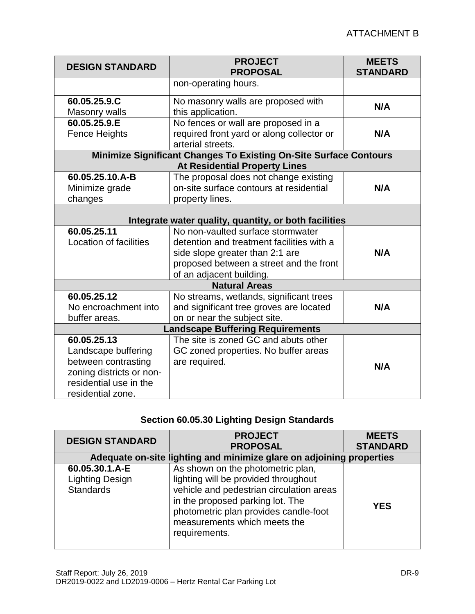| <b>DESIGN STANDARD</b>                                                                                    | <b>PROJECT</b><br><b>PROPOSAL</b>                                                | <b>MEETS</b><br><b>STANDARD</b> |  |
|-----------------------------------------------------------------------------------------------------------|----------------------------------------------------------------------------------|---------------------------------|--|
|                                                                                                           | non-operating hours.                                                             |                                 |  |
| 60.05.25.9.C<br>Masonry walls                                                                             | No masonry walls are proposed with<br>this application.                          | N/A                             |  |
| 60.05.25.9.E                                                                                              | No fences or wall are proposed in a                                              |                                 |  |
| <b>Fence Heights</b>                                                                                      | required front yard or along collector or<br>arterial streets.                   | N/A                             |  |
| Minimize Significant Changes To Existing On-Site Surface Contours<br><b>At Residential Property Lines</b> |                                                                                  |                                 |  |
| 60.05.25.10.A-B<br>Minimize grade                                                                         | The proposal does not change existing<br>on-site surface contours at residential | N/A                             |  |
| changes                                                                                                   | property lines.                                                                  |                                 |  |
| Integrate water quality, quantity, or both facilities                                                     |                                                                                  |                                 |  |
| 60.05.25.11<br>Location of facilities                                                                     | No non-vaulted surface stormwater<br>detention and treatment facilities with a   |                                 |  |
|                                                                                                           | side slope greater than 2:1 are                                                  | N/A                             |  |
|                                                                                                           | proposed between a street and the front<br>of an adjacent building.              |                                 |  |
|                                                                                                           | <b>Natural Areas</b>                                                             |                                 |  |
| 60.05.25.12                                                                                               | No streams, wetlands, significant trees                                          |                                 |  |
| No encroachment into                                                                                      | and significant tree groves are located                                          | N/A                             |  |
| buffer areas.<br>on or near the subject site.<br><b>Landscape Buffering Requirements</b>                  |                                                                                  |                                 |  |
| 60.05.25.13                                                                                               | The site is zoned GC and abuts other                                             |                                 |  |
| Landscape buffering                                                                                       | GC zoned properties. No buffer areas                                             |                                 |  |
| between contrasting                                                                                       | are required.                                                                    |                                 |  |
| zoning districts or non-                                                                                  |                                                                                  | N/A                             |  |
| residential use in the                                                                                    |                                                                                  |                                 |  |
| residential zone.                                                                                         |                                                                                  |                                 |  |

# **Section 60.05.30 Lighting Design Standards**

| <b>DESIGN STANDARD</b>                                               | <b>PROJECT</b><br><b>PROPOSAL</b>                                                                                                                                                                                                                   | <b>MEETS</b><br><b>STANDARD</b> |
|----------------------------------------------------------------------|-----------------------------------------------------------------------------------------------------------------------------------------------------------------------------------------------------------------------------------------------------|---------------------------------|
| Adequate on-site lighting and minimize glare on adjoining properties |                                                                                                                                                                                                                                                     |                                 |
| 60.05.30.1.A-E<br><b>Lighting Design</b><br><b>Standards</b>         | As shown on the photometric plan,<br>lighting will be provided throughout<br>vehicle and pedestrian circulation areas<br>in the proposed parking lot. The<br>photometric plan provides candle-foot<br>measurements which meets the<br>requirements. | <b>YES</b>                      |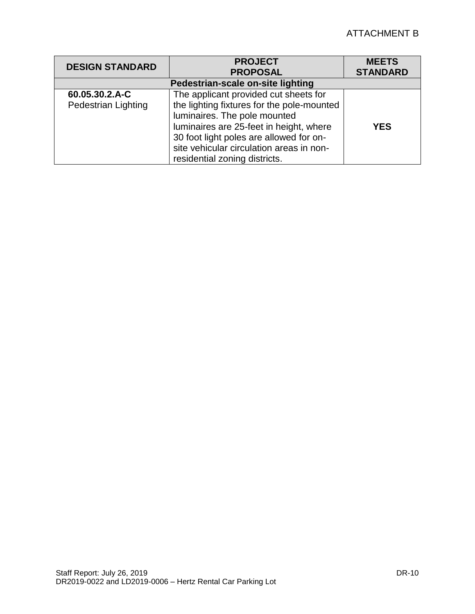| <b>DESIGN STANDARD</b>                       | <b>PROJECT</b>                                                                                                                                                                                                                                                                         | <b>MEETS</b>    |
|----------------------------------------------|----------------------------------------------------------------------------------------------------------------------------------------------------------------------------------------------------------------------------------------------------------------------------------------|-----------------|
|                                              | <b>PROPOSAL</b>                                                                                                                                                                                                                                                                        | <b>STANDARD</b> |
| Pedestrian-scale on-site lighting            |                                                                                                                                                                                                                                                                                        |                 |
| 60.05.30.2.A-C<br><b>Pedestrian Lighting</b> | The applicant provided cut sheets for<br>the lighting fixtures for the pole-mounted<br>luminaires. The pole mounted<br>luminaires are 25-feet in height, where<br>30 foot light poles are allowed for on-<br>site vehicular circulation areas in non-<br>residential zoning districts. | <b>YES</b>      |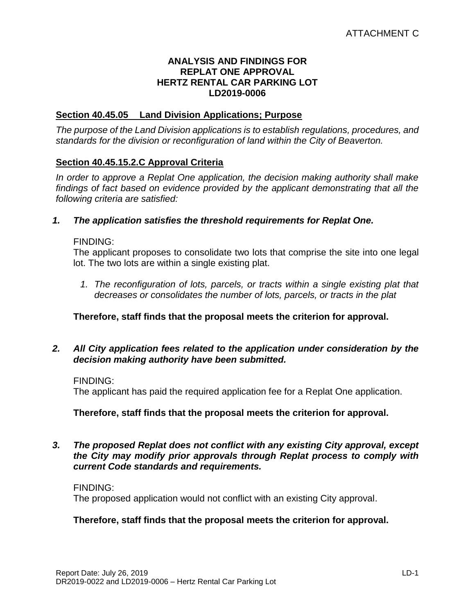#### **ANALYSIS AND FINDINGS FOR REPLAT ONE APPROVAL HERTZ RENTAL CAR PARKING LOT LD2019-0006**

# **Section 40.45.05 Land Division Applications; Purpose**

*The purpose of the Land Division applications is to establish regulations, procedures, and standards for the division or reconfiguration of land within the City of Beaverton.* 

#### **Section 40.45.15.2.C Approval Criteria**

*In order to approve a Replat One application, the decision making authority shall make findings of fact based on evidence provided by the applicant demonstrating that all the following criteria are satisfied:*

*1. The application satisfies the threshold requirements for Replat One.* 

#### FINDING:

The applicant proposes to consolidate two lots that comprise the site into one legal lot. The two lots are within a single existing plat.

*1. The reconfiguration of lots, parcels, or tracts within a single existing plat that decreases or consolidates the number of lots, parcels, or tracts in the plat*

# **Therefore, staff finds that the proposal meets the criterion for approval.**

# *2. All City application fees related to the application under consideration by the decision making authority have been submitted.*

FINDING: The applicant has paid the required application fee for a Replat One application.

**Therefore, staff finds that the proposal meets the criterion for approval.**

#### *3. The proposed Replat does not conflict with any existing City approval, except the City may modify prior approvals through Replat process to comply with current Code standards and requirements.*

#### FINDING:

The proposed application would not conflict with an existing City approval.

# **Therefore, staff finds that the proposal meets the criterion for approval.**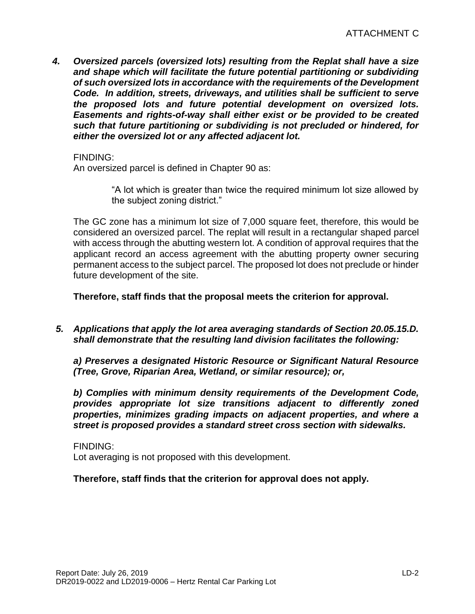*4. Oversized parcels (oversized lots) resulting from the Replat shall have a size*  and shape which will facilitate the future potential partitioning or subdividing *of such oversized lots in accordance with the requirements of the Development Code. In addition, streets, driveways, and utilities shall be sufficient to serve the proposed lots and future potential development on oversized lots. Easements and rights-of-way shall either exist or be provided to be created such that future partitioning or subdividing is not precluded or hindered, for either the oversized lot or any affected adjacent lot.*

#### FINDING:

An oversized parcel is defined in Chapter 90 as:

"A lot which is greater than twice the required minimum lot size allowed by the subject zoning district."

The GC zone has a minimum lot size of 7,000 square feet, therefore, this would be considered an oversized parcel. The replat will result in a rectangular shaped parcel with access through the abutting western lot. A condition of approval requires that the applicant record an access agreement with the abutting property owner securing permanent access to the subject parcel. The proposed lot does not preclude or hinder future development of the site.

**Therefore, staff finds that the proposal meets the criterion for approval.**

*5. Applications that apply the lot area averaging standards of Section 20.05.15.D. shall demonstrate that the resulting land division facilitates the following:* 

*a) Preserves a designated Historic Resource or Significant Natural Resource (Tree, Grove, Riparian Area, Wetland, or similar resource); or,* 

*b) Complies with minimum density requirements of the Development Code, provides appropriate lot size transitions adjacent to differently zoned properties, minimizes grading impacts on adjacent properties, and where a street is proposed provides a standard street cross section with sidewalks.*

FINDING: Lot averaging is not proposed with this development.

**Therefore, staff finds that the criterion for approval does not apply.**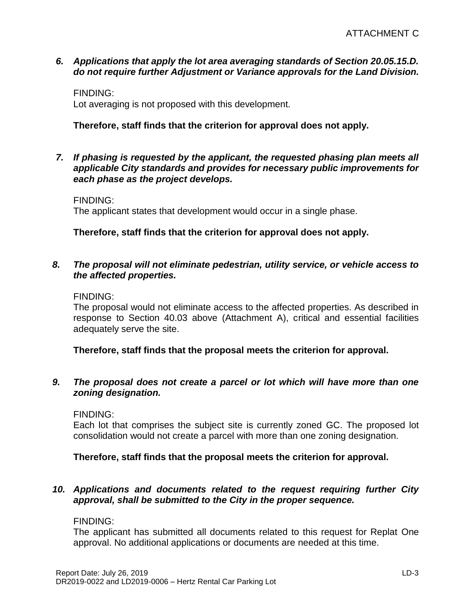# *6. Applications that apply the lot area averaging standards of Section 20.05.15.D. do not require further Adjustment or Variance approvals for the Land Division.*

FINDING:

Lot averaging is not proposed with this development.

# **Therefore, staff finds that the criterion for approval does not apply.**

## *7. If phasing is requested by the applicant, the requested phasing plan meets all applicable City standards and provides for necessary public improvements for each phase as the project develops.*

FINDING:

The applicant states that development would occur in a single phase.

# **Therefore, staff finds that the criterion for approval does not apply.**

# *8. The proposal will not eliminate pedestrian, utility service, or vehicle access to the affected properties.*

# FINDING:

The proposal would not eliminate access to the affected properties. As described in response to Section 40.03 above (Attachment A), critical and essential facilities adequately serve the site.

# **Therefore, staff finds that the proposal meets the criterion for approval.**

#### *9. The proposal does not create a parcel or lot which will have more than one zoning designation.*

# FINDING:

Each lot that comprises the subject site is currently zoned GC. The proposed lot consolidation would not create a parcel with more than one zoning designation.

# **Therefore, staff finds that the proposal meets the criterion for approval.**

# *10. Applications and documents related to the request requiring further City approval, shall be submitted to the City in the proper sequence.*

# FINDING:

The applicant has submitted all documents related to this request for Replat One approval. No additional applications or documents are needed at this time.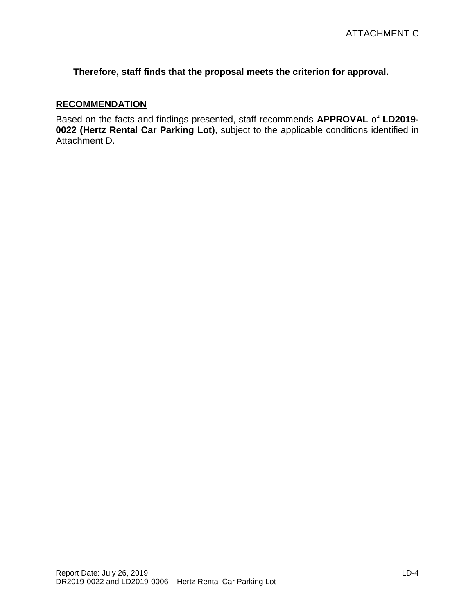**Therefore, staff finds that the proposal meets the criterion for approval.**

# **RECOMMENDATION**

Based on the facts and findings presented, staff recommends **APPROVAL** of **LD2019- 0022 (Hertz Rental Car Parking Lot)**, subject to the applicable conditions identified in Attachment D.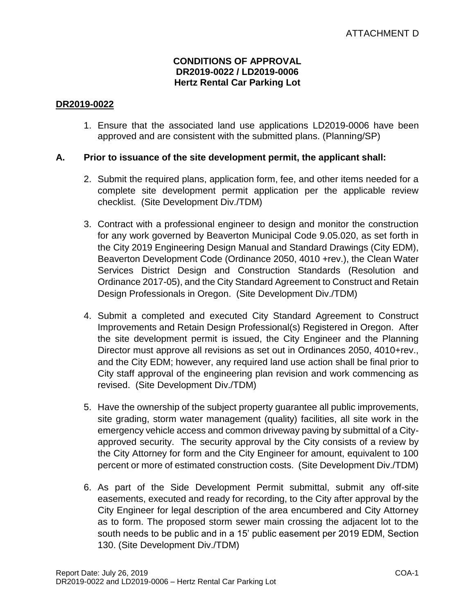#### **CONDITIONS OF APPROVAL DR2019-0022 / LD2019-0006 Hertz Rental Car Parking Lot**

# **DR2019-0022**

1. Ensure that the associated land use applications LD2019-0006 have been approved and are consistent with the submitted plans. (Planning/SP)

# **A. Prior to issuance of the site development permit, the applicant shall:**

- 2. Submit the required plans, application form, fee, and other items needed for a complete site development permit application per the applicable review checklist. (Site Development Div./TDM)
- 3. Contract with a professional engineer to design and monitor the construction for any work governed by Beaverton Municipal Code 9.05.020, as set forth in the City 2019 Engineering Design Manual and Standard Drawings (City EDM), Beaverton Development Code (Ordinance 2050, 4010 +rev.), the Clean Water Services District Design and Construction Standards (Resolution and Ordinance 2017-05), and the City Standard Agreement to Construct and Retain Design Professionals in Oregon. (Site Development Div./TDM)
- 4. Submit a completed and executed City Standard Agreement to Construct Improvements and Retain Design Professional(s) Registered in Oregon. After the site development permit is issued, the City Engineer and the Planning Director must approve all revisions as set out in Ordinances 2050, 4010+rev., and the City EDM; however, any required land use action shall be final prior to City staff approval of the engineering plan revision and work commencing as revised. (Site Development Div./TDM)
- 5. Have the ownership of the subject property guarantee all public improvements, site grading, storm water management (quality) facilities, all site work in the emergency vehicle access and common driveway paving by submittal of a Cityapproved security. The security approval by the City consists of a review by the City Attorney for form and the City Engineer for amount, equivalent to 100 percent or more of estimated construction costs. (Site Development Div./TDM)
- 6. As part of the Side Development Permit submittal, submit any off-site easements, executed and ready for recording, to the City after approval by the City Engineer for legal description of the area encumbered and City Attorney as to form. The proposed storm sewer main crossing the adjacent lot to the south needs to be public and in a 15' public easement per 2019 EDM, Section 130. (Site Development Div./TDM)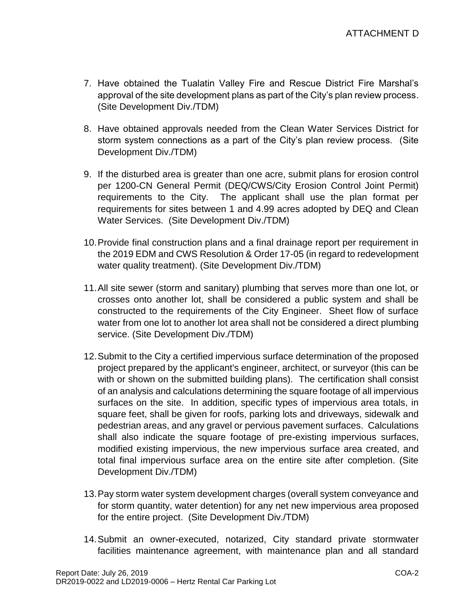- 7. Have obtained the Tualatin Valley Fire and Rescue District Fire Marshal's approval of the site development plans as part of the City's plan review process. (Site Development Div./TDM)
- 8. Have obtained approvals needed from the Clean Water Services District for storm system connections as a part of the City's plan review process. (Site Development Div./TDM)
- 9. If the disturbed area is greater than one acre, submit plans for erosion control per 1200-CN General Permit (DEQ/CWS/City Erosion Control Joint Permit) requirements to the City. The applicant shall use the plan format per requirements for sites between 1 and 4.99 acres adopted by DEQ and Clean Water Services. (Site Development Div./TDM)
- 10.Provide final construction plans and a final drainage report per requirement in the 2019 EDM and CWS Resolution & Order 17-05 (in regard to redevelopment water quality treatment). (Site Development Div./TDM)
- 11.All site sewer (storm and sanitary) plumbing that serves more than one lot, or crosses onto another lot, shall be considered a public system and shall be constructed to the requirements of the City Engineer. Sheet flow of surface water from one lot to another lot area shall not be considered a direct plumbing service. (Site Development Div./TDM)
- 12.Submit to the City a certified impervious surface determination of the proposed project prepared by the applicant's engineer, architect, or surveyor (this can be with or shown on the submitted building plans). The certification shall consist of an analysis and calculations determining the square footage of all impervious surfaces on the site. In addition, specific types of impervious area totals, in square feet, shall be given for roofs, parking lots and driveways, sidewalk and pedestrian areas, and any gravel or pervious pavement surfaces. Calculations shall also indicate the square footage of pre-existing impervious surfaces, modified existing impervious, the new impervious surface area created, and total final impervious surface area on the entire site after completion. (Site Development Div./TDM)
- 13.Pay storm water system development charges (overall system conveyance and for storm quantity, water detention) for any net new impervious area proposed for the entire project. (Site Development Div./TDM)
- 14.Submit an owner-executed, notarized, City standard private stormwater facilities maintenance agreement, with maintenance plan and all standard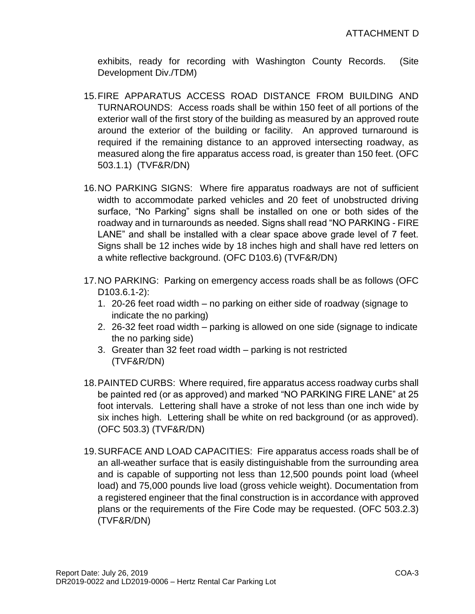exhibits, ready for recording with Washington County Records. (Site Development Div./TDM)

- 15.FIRE APPARATUS ACCESS ROAD DISTANCE FROM BUILDING AND TURNAROUNDS: Access roads shall be within 150 feet of all portions of the exterior wall of the first story of the building as measured by an approved route around the exterior of the building or facility. An approved turnaround is required if the remaining distance to an approved intersecting roadway, as measured along the fire apparatus access road, is greater than 150 feet. (OFC 503.1.1) (TVF&R/DN)
- 16.NO PARKING SIGNS: Where fire apparatus roadways are not of sufficient width to accommodate parked vehicles and 20 feet of unobstructed driving surface, "No Parking" signs shall be installed on one or both sides of the roadway and in turnarounds as needed. Signs shall read "NO PARKING - FIRE LANE" and shall be installed with a clear space above grade level of 7 feet. Signs shall be 12 inches wide by 18 inches high and shall have red letters on a white reflective background. (OFC D103.6) (TVF&R/DN)
- 17.NO PARKING:Parking on emergency access roads shall be as follows (OFC D103.6.1-2):
	- 1. 20-26 feet road width no parking on either side of roadway (signage to indicate the no parking)
	- 2. 26-32 feet road width parking is allowed on one side (signage to indicate the no parking side)
	- 3. Greater than 32 feet road width parking is not restricted (TVF&R/DN)
- 18.PAINTED CURBS: Where required, fire apparatus access roadway curbs shall be painted red (or as approved) and marked "NO PARKING FIRE LANE" at 25 foot intervals. Lettering shall have a stroke of not less than one inch wide by six inches high. Lettering shall be white on red background (or as approved). (OFC 503.3) (TVF&R/DN)
- 19.SURFACE AND LOAD CAPACITIES: Fire apparatus access roads shall be of an all-weather surface that is easily distinguishable from the surrounding area and is capable of supporting not less than 12,500 pounds point load (wheel load) and 75,000 pounds live load (gross vehicle weight). Documentation from a registered engineer that the final construction is in accordance with approved plans or the requirements of the Fire Code may be requested. (OFC 503.2.3) (TVF&R/DN)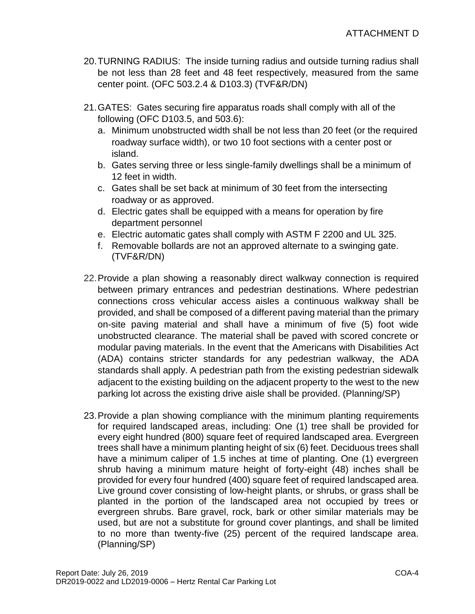- 20.TURNING RADIUS: The inside turning radius and outside turning radius shall be not less than 28 feet and 48 feet respectively, measured from the same center point. (OFC 503.2.4 & D103.3) (TVF&R/DN)
- 21.GATES: Gates securing fire apparatus roads shall comply with all of the following (OFC D103.5, and 503.6):
	- a. Minimum unobstructed width shall be not less than 20 feet (or the required roadway surface width), or two 10 foot sections with a center post or island.
	- b. Gates serving three or less single-family dwellings shall be a minimum of 12 feet in width.
	- c. Gates shall be set back at minimum of 30 feet from the intersecting roadway or as approved.
	- d. Electric gates shall be equipped with a means for operation by fire department personnel
	- e. Electric automatic gates shall comply with ASTM F 2200 and UL 325.
	- f. Removable bollards are not an approved alternate to a swinging gate. (TVF&R/DN)
- 22.Provide a plan showing a reasonably direct walkway connection is required between primary entrances and pedestrian destinations. Where pedestrian connections cross vehicular access aisles a continuous walkway shall be provided, and shall be composed of a different paving material than the primary on-site paving material and shall have a minimum of five (5) foot wide unobstructed clearance. The material shall be paved with scored concrete or modular paving materials. In the event that the Americans with Disabilities Act (ADA) contains stricter standards for any pedestrian walkway, the ADA standards shall apply. A pedestrian path from the existing pedestrian sidewalk adjacent to the existing building on the adjacent property to the west to the new parking lot across the existing drive aisle shall be provided. (Planning/SP)
- 23.Provide a plan showing compliance with the minimum planting requirements for required landscaped areas, including: One (1) tree shall be provided for every eight hundred (800) square feet of required landscaped area. Evergreen trees shall have a minimum planting height of six (6) feet. Deciduous trees shall have a minimum caliper of 1.5 inches at time of planting. One (1) evergreen shrub having a minimum mature height of forty-eight (48) inches shall be provided for every four hundred (400) square feet of required landscaped area. Live ground cover consisting of low-height plants, or shrubs, or grass shall be planted in the portion of the landscaped area not occupied by trees or evergreen shrubs. Bare gravel, rock, bark or other similar materials may be used, but are not a substitute for ground cover plantings, and shall be limited to no more than twenty-five (25) percent of the required landscape area. (Planning/SP)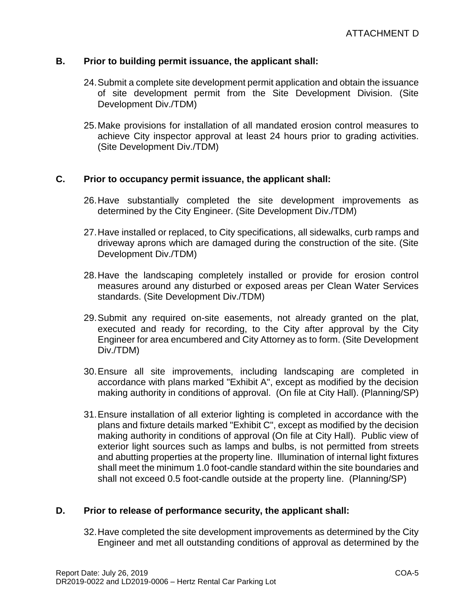# **B. Prior to building permit issuance, the applicant shall:**

- 24.Submit a complete site development permit application and obtain the issuance of site development permit from the Site Development Division. (Site Development Div./TDM)
- 25.Make provisions for installation of all mandated erosion control measures to achieve City inspector approval at least 24 hours prior to grading activities. (Site Development Div./TDM)

# **C. Prior to occupancy permit issuance, the applicant shall:**

- 26.Have substantially completed the site development improvements as determined by the City Engineer. (Site Development Div./TDM)
- 27.Have installed or replaced, to City specifications, all sidewalks, curb ramps and driveway aprons which are damaged during the construction of the site. (Site Development Div./TDM)
- 28.Have the landscaping completely installed or provide for erosion control measures around any disturbed or exposed areas per Clean Water Services standards. (Site Development Div./TDM)
- 29.Submit any required on-site easements, not already granted on the plat, executed and ready for recording, to the City after approval by the City Engineer for area encumbered and City Attorney as to form. (Site Development Div./TDM)
- 30.Ensure all site improvements, including landscaping are completed in accordance with plans marked "Exhibit A", except as modified by the decision making authority in conditions of approval. (On file at City Hall). (Planning/SP)
- 31.Ensure installation of all exterior lighting is completed in accordance with the plans and fixture details marked "Exhibit C", except as modified by the decision making authority in conditions of approval (On file at City Hall). Public view of exterior light sources such as lamps and bulbs, is not permitted from streets and abutting properties at the property line. Illumination of internal light fixtures shall meet the minimum 1.0 foot-candle standard within the site boundaries and shall not exceed 0.5 foot-candle outside at the property line. (Planning/SP)

# **D. Prior to release of performance security, the applicant shall:**

32.Have completed the site development improvements as determined by the City Engineer and met all outstanding conditions of approval as determined by the